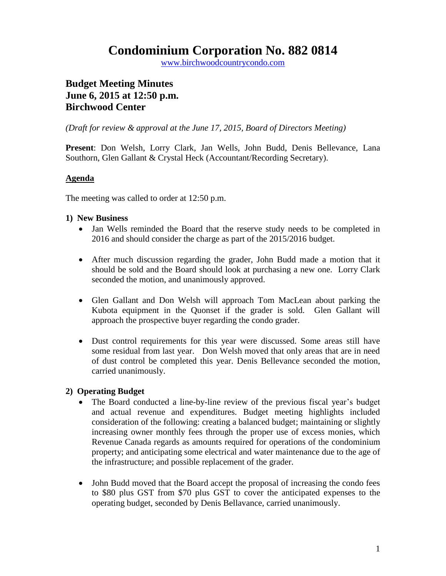## **Condominium Corporation No. 882 0814**

www.birchwoodcountrycondo.com

### **Budget Meeting Minutes June 6, 2015 at 12:50 p.m. Birchwood Center**

*(Draft for review & approval at the June 17, 2015, Board of Directors Meeting)*

**Present**: Don Welsh, Lorry Clark, Jan Wells, John Budd, Denis Bellevance, Lana Southorn, Glen Gallant & Crystal Heck (Accountant/Recording Secretary).

#### **Agenda**

The meeting was called to order at 12:50 p.m.

#### **1) New Business**

- Jan Wells reminded the Board that the reserve study needs to be completed in 2016 and should consider the charge as part of the 2015/2016 budget.
- After much discussion regarding the grader, John Budd made a motion that it should be sold and the Board should look at purchasing a new one. Lorry Clark seconded the motion, and unanimously approved.
- Glen Gallant and Don Welsh will approach Tom MacLean about parking the Kubota equipment in the Quonset if the grader is sold. Glen Gallant will approach the prospective buyer regarding the condo grader.
- Dust control requirements for this year were discussed. Some areas still have some residual from last year. Don Welsh moved that only areas that are in need of dust control be completed this year. Denis Bellevance seconded the motion, carried unanimously.

#### **2) Operating Budget**

- The Board conducted a line-by-line review of the previous fiscal year's budget and actual revenue and expenditures. Budget meeting highlights included consideration of the following: creating a balanced budget; maintaining or slightly increasing owner monthly fees through the proper use of excess monies, which Revenue Canada regards as amounts required for operations of the condominium property; and anticipating some electrical and water maintenance due to the age of the infrastructure; and possible replacement of the grader.
- John Budd moved that the Board accept the proposal of increasing the condo fees to \$80 plus GST from \$70 plus GST to cover the anticipated expenses to the operating budget, seconded by Denis Bellavance, carried unanimously.